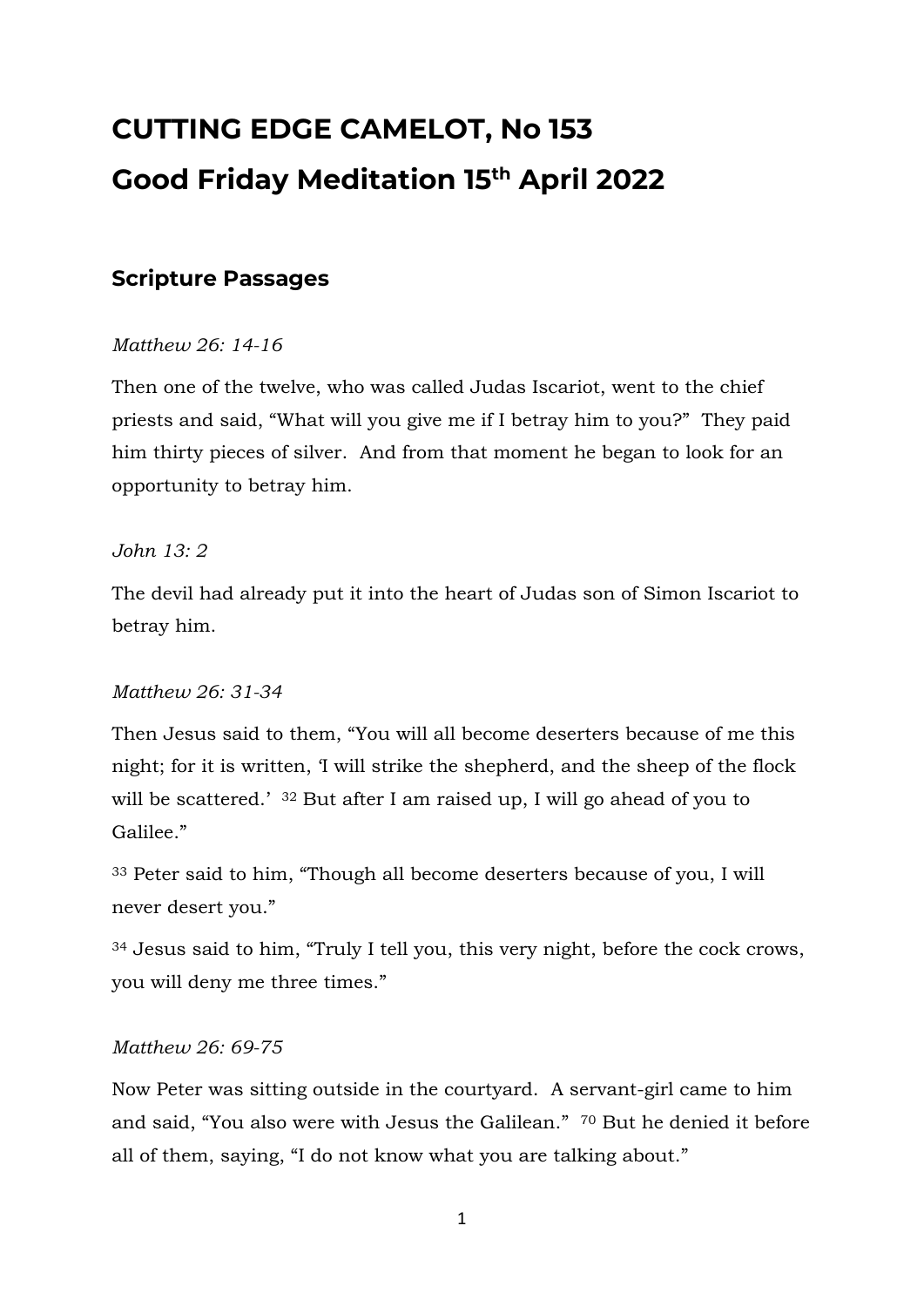# **CUTTING EDGE CAMELOT, No 153 Good Friday Meditation 15 th April 2022**

# **Scripture Passages**

## *Matthew 26: 14-16*

Then one of the twelve, who was called Judas Iscariot, went to the chief priests and said, "What will you give me if I betray him to you?" They paid him thirty pieces of silver. And from that moment he began to look for an opportunity to betray him.

## *John 13: 2*

The devil had already put it into the heart of Judas son of Simon Iscariot to betray him.

## *Matthew 26: 31-34*

Then Jesus said to them, "You will all become deserters because of me this night; for it is written, 'I will strike the shepherd, and the sheep of the flock will be scattered.' <sup>32</sup> But after I am raised up, I will go ahead of you to Galilee."

<sup>33</sup> Peter said to him, "Though all become deserters because of you, I will never desert you."

<sup>34</sup> Jesus said to him, "Truly I tell you, this very night, before the cock crows, you will deny me three times."

## *Matthew 26: 69-75*

Now Peter was sitting outside in the courtyard. A servant-girl came to him and said, "You also were with Jesus the Galilean." <sup>70</sup> But he denied it before all of them, saying, "I do not know what you are talking about."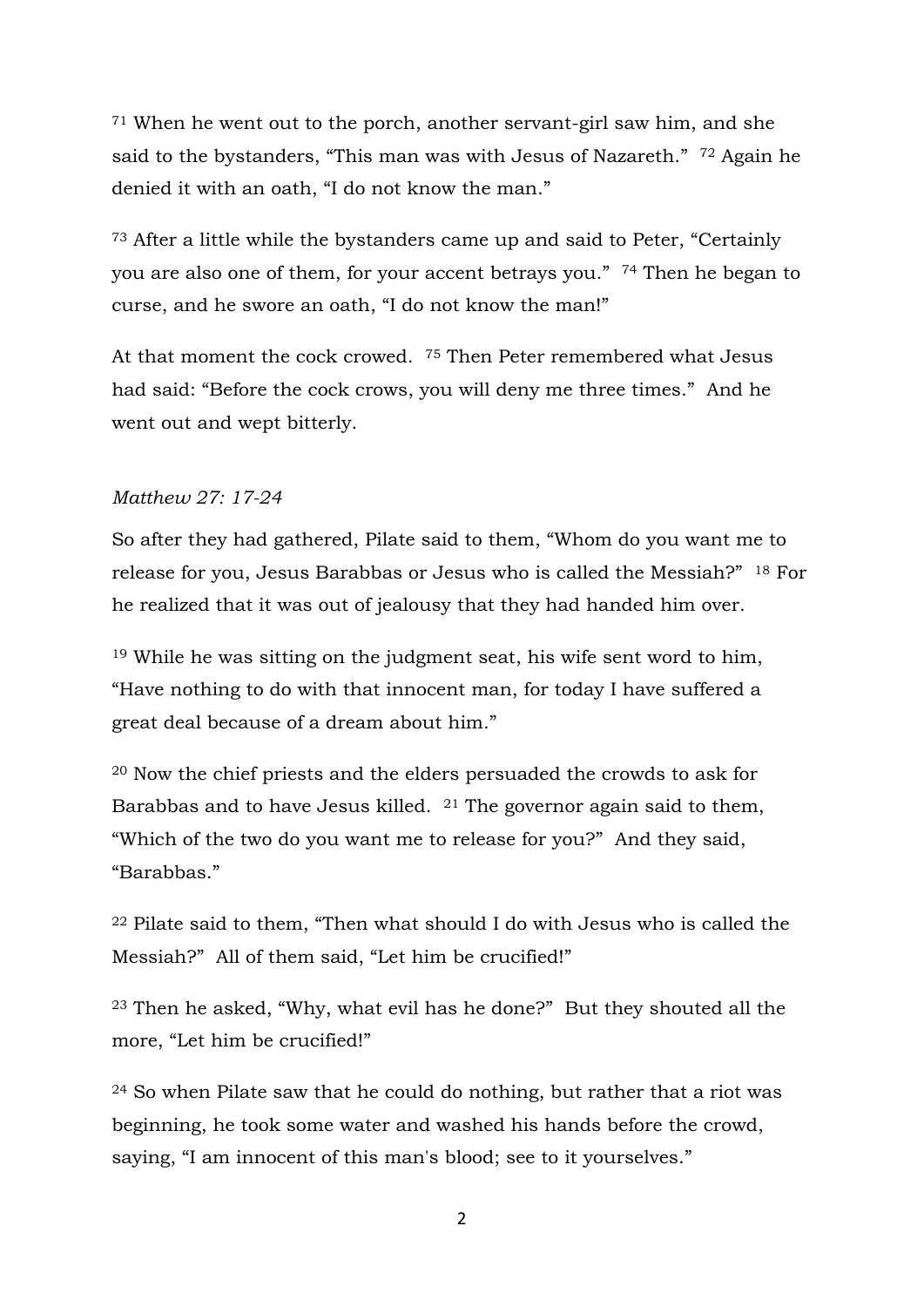<sup>71</sup> When he went out to the porch, another servant-girl saw him, and she said to the bystanders, "This man was with Jesus of Nazareth." <sup>72</sup> Again he denied it with an oath, "I do not know the man."

<sup>73</sup> After a little while the bystanders came up and said to Peter, "Certainly you are also one of them, for your accent betrays you." <sup>74</sup> Then he began to curse, and he swore an oath, "I do not know the man!"

At that moment the cock crowed. <sup>75</sup> Then Peter remembered what Jesus had said: "Before the cock crows, you will deny me three times." And he went out and wept bitterly.

#### *Matthew 27: 17-24*

So after they had gathered, Pilate said to them, "Whom do you want me to release for you, Jesus Barabbas or Jesus who is called the Messiah?" <sup>18</sup> For he realized that it was out of jealousy that they had handed him over.

<sup>19</sup> While he was sitting on the judgment seat, his wife sent word to him, "Have nothing to do with that innocent man, for today I have suffered a great deal because of a dream about him."

<sup>20</sup> Now the chief priests and the elders persuaded the crowds to ask for Barabbas and to have Jesus killed. <sup>21</sup> The governor again said to them, "Which of the two do you want me to release for you?" And they said, "Barabbas."

<sup>22</sup> Pilate said to them, "Then what should I do with Jesus who is called the Messiah?" All of them said, "Let him be crucified!"

<sup>23</sup> Then he asked, "Why, what evil has he done?" But they shouted all the more, "Let him be crucified!"

<sup>24</sup> So when Pilate saw that he could do nothing, but rather that a riot was beginning, he took some water and washed his hands before the crowd, saying, "I am innocent of this man's blood; see to it yourselves."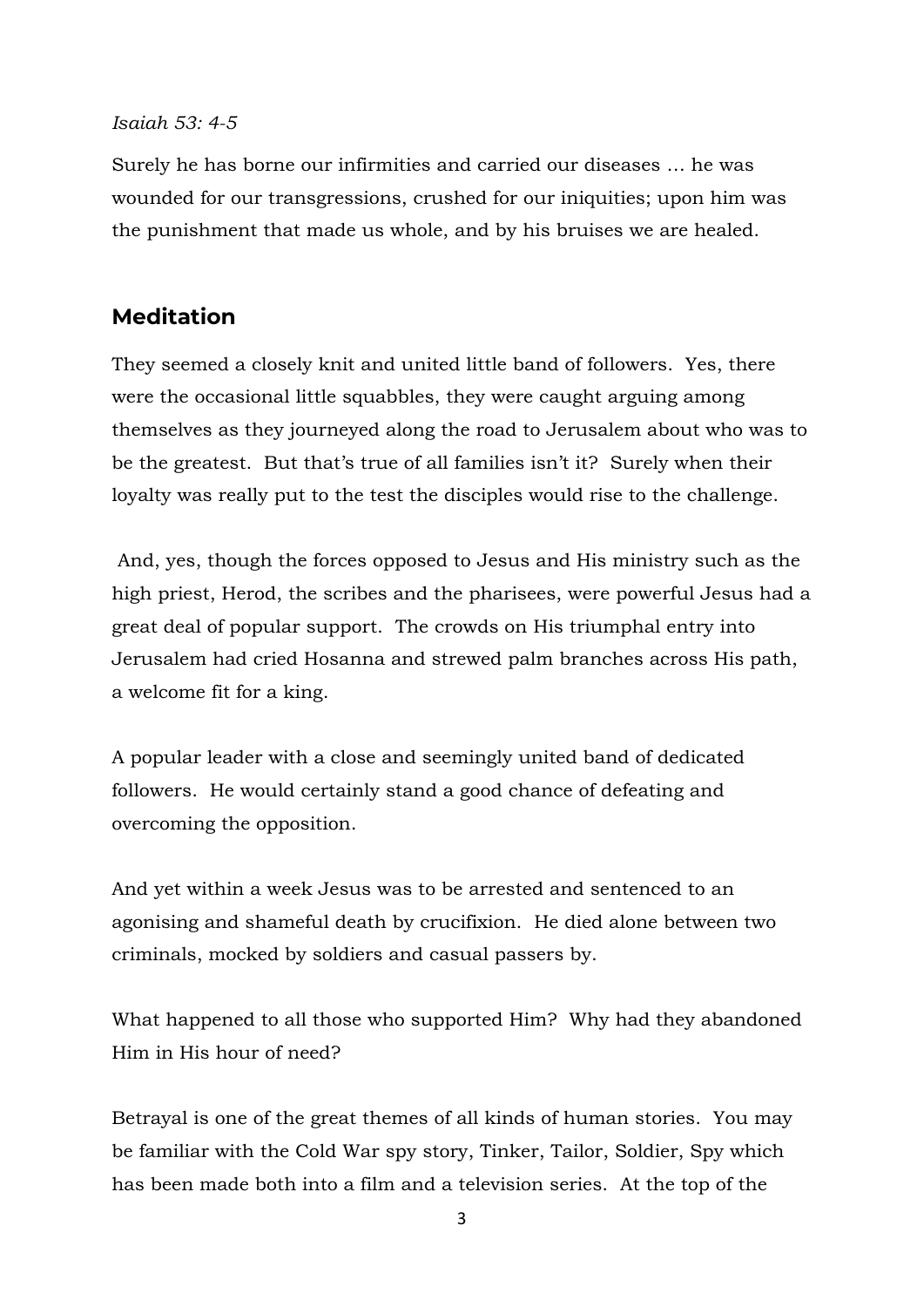#### *Isaiah 53: 4-5*

Surely he has borne our infirmities and carried our diseases … he was wounded for our transgressions, crushed for our iniquities; upon him was the punishment that made us whole, and by his bruises we are healed.

## **Meditation**

They seemed a closely knit and united little band of followers. Yes, there were the occasional little squabbles, they were caught arguing among themselves as they journeyed along the road to Jerusalem about who was to be the greatest. But that's true of all families isn't it? Surely when their loyalty was really put to the test the disciples would rise to the challenge.

And, yes, though the forces opposed to Jesus and His ministry such as the high priest, Herod, the scribes and the pharisees, were powerful Jesus had a great deal of popular support. The crowds on His triumphal entry into Jerusalem had cried Hosanna and strewed palm branches across His path, a welcome fit for a king.

A popular leader with a close and seemingly united band of dedicated followers. He would certainly stand a good chance of defeating and overcoming the opposition.

And yet within a week Jesus was to be arrested and sentenced to an agonising and shameful death by crucifixion. He died alone between two criminals, mocked by soldiers and casual passers by.

What happened to all those who supported Him? Why had they abandoned Him in His hour of need?

Betrayal is one of the great themes of all kinds of human stories. You may be familiar with the Cold War spy story, Tinker, Tailor, Soldier, Spy which has been made both into a film and a television series. At the top of the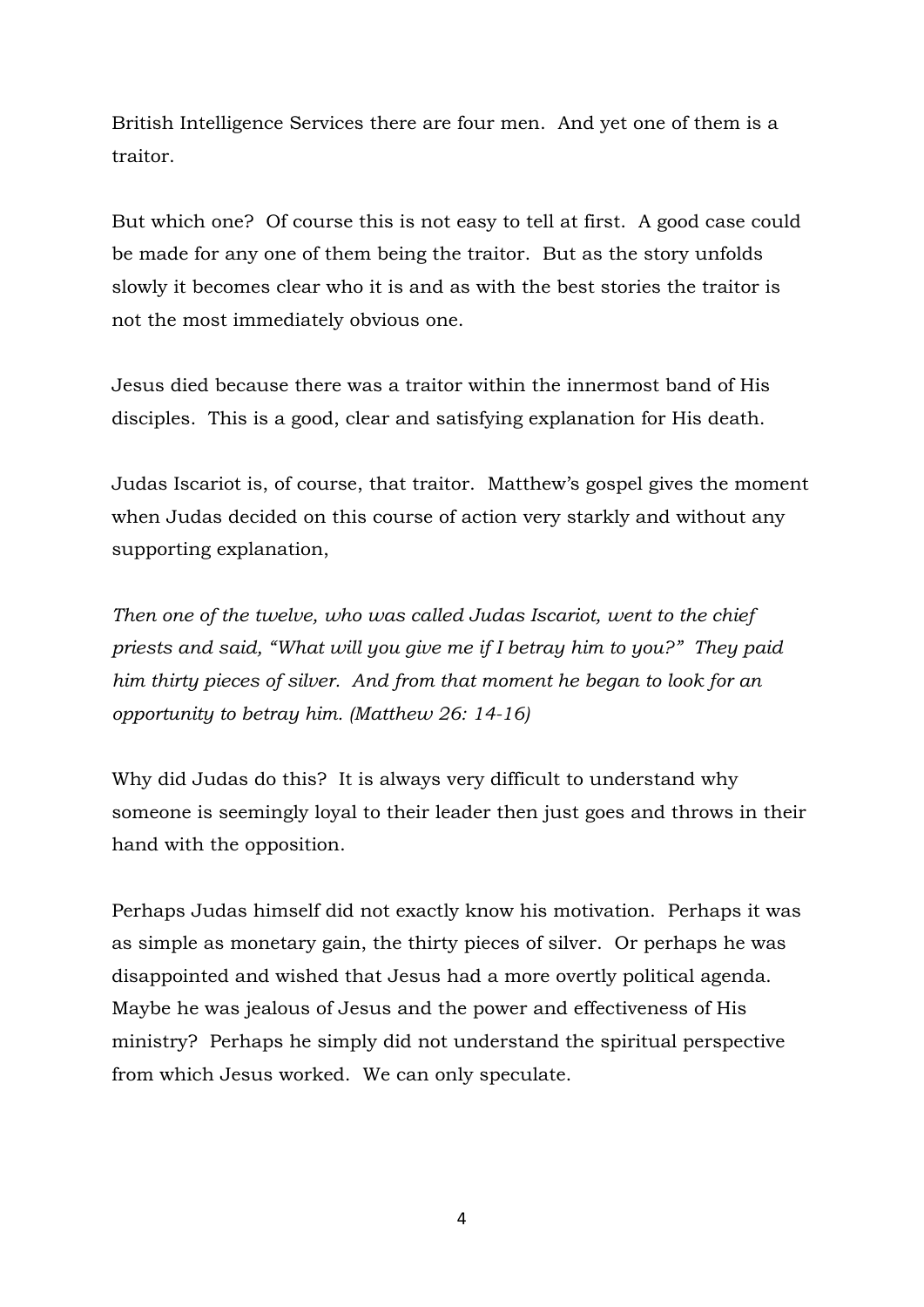British Intelligence Services there are four men. And yet one of them is a traitor.

But which one? Of course this is not easy to tell at first. A good case could be made for any one of them being the traitor. But as the story unfolds slowly it becomes clear who it is and as with the best stories the traitor is not the most immediately obvious one.

Jesus died because there was a traitor within the innermost band of His disciples. This is a good, clear and satisfying explanation for His death.

Judas Iscariot is, of course, that traitor. Matthew's gospel gives the moment when Judas decided on this course of action very starkly and without any supporting explanation,

*Then one of the twelve, who was called Judas Iscariot, went to the chief priests and said, "What will you give me if I betray him to you?" They paid him thirty pieces of silver. And from that moment he began to look for an opportunity to betray him. (Matthew 26: 14-16)*

Why did Judas do this? It is always very difficult to understand why someone is seemingly loyal to their leader then just goes and throws in their hand with the opposition.

Perhaps Judas himself did not exactly know his motivation. Perhaps it was as simple as monetary gain, the thirty pieces of silver. Or perhaps he was disappointed and wished that Jesus had a more overtly political agenda. Maybe he was jealous of Jesus and the power and effectiveness of His ministry? Perhaps he simply did not understand the spiritual perspective from which Jesus worked. We can only speculate.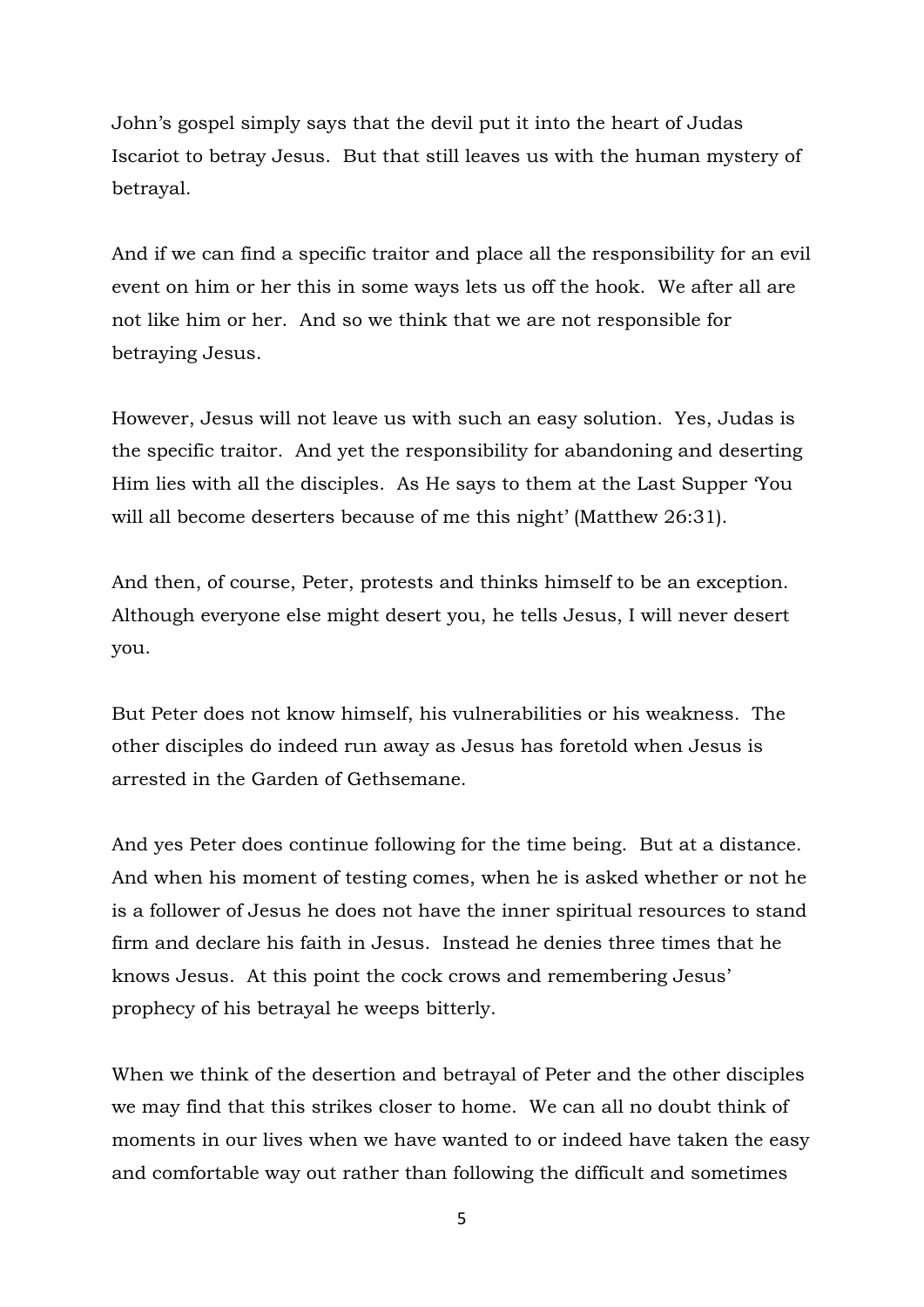John's gospel simply says that the devil put it into the heart of Judas Iscariot to betray Jesus. But that still leaves us with the human mystery of betrayal.

And if we can find a specific traitor and place all the responsibility for an evil event on him or her this in some ways lets us off the hook. We after all are not like him or her. And so we think that we are not responsible for betraying Jesus.

However, Jesus will not leave us with such an easy solution. Yes, Judas is the specific traitor. And yet the responsibility for abandoning and deserting Him lies with all the disciples. As He says to them at the Last Supper 'You will all become deserters because of me this night' (Matthew 26:31).

And then, of course, Peter, protests and thinks himself to be an exception. Although everyone else might desert you, he tells Jesus, I will never desert you.

But Peter does not know himself, his vulnerabilities or his weakness. The other disciples do indeed run away as Jesus has foretold when Jesus is arrested in the Garden of Gethsemane.

And yes Peter does continue following for the time being. But at a distance. And when his moment of testing comes, when he is asked whether or not he is a follower of Jesus he does not have the inner spiritual resources to stand firm and declare his faith in Jesus. Instead he denies three times that he knows Jesus. At this point the cock crows and remembering Jesus' prophecy of his betrayal he weeps bitterly.

When we think of the desertion and betrayal of Peter and the other disciples we may find that this strikes closer to home. We can all no doubt think of moments in our lives when we have wanted to or indeed have taken the easy and comfortable way out rather than following the difficult and sometimes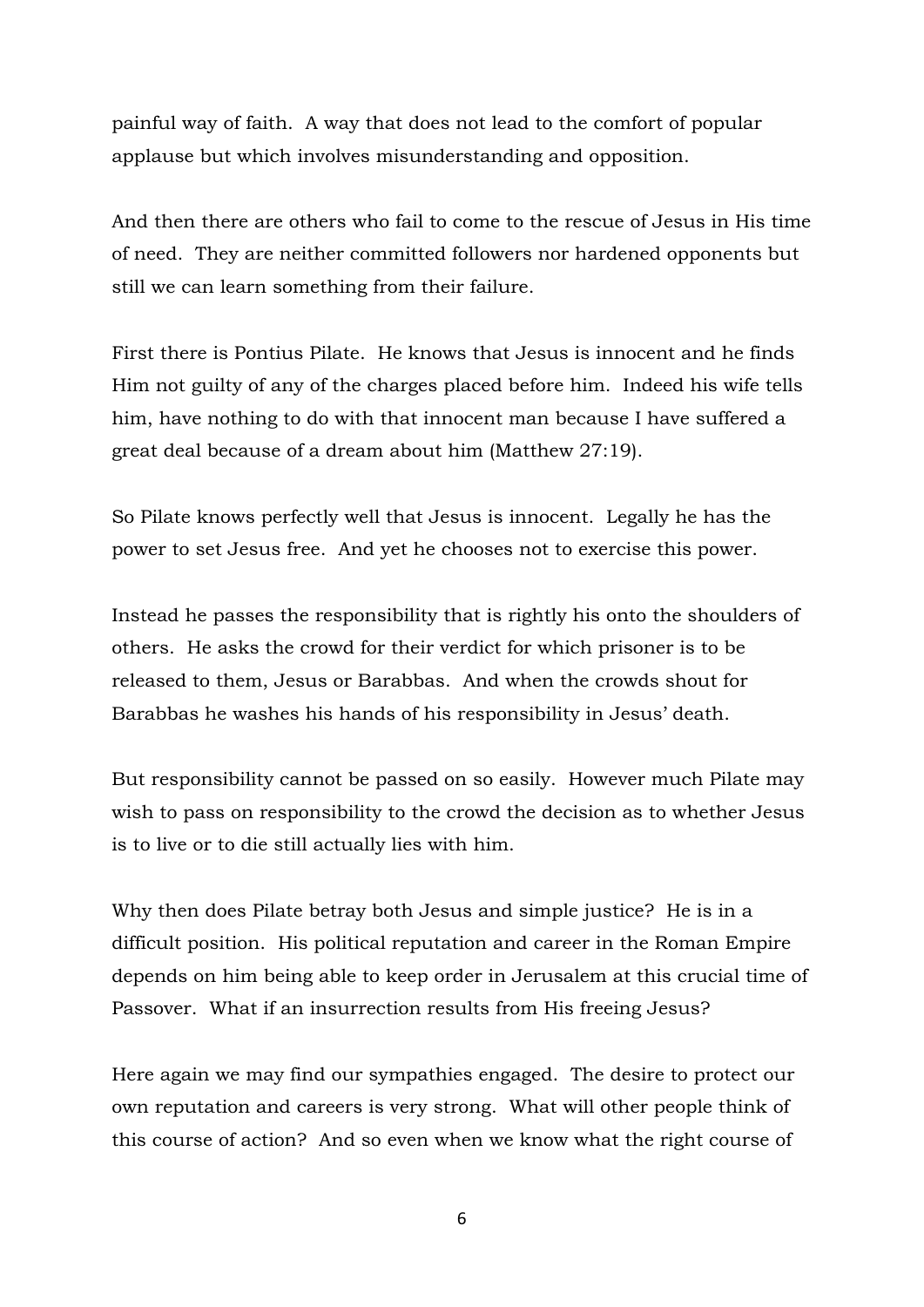painful way of faith. A way that does not lead to the comfort of popular applause but which involves misunderstanding and opposition.

And then there are others who fail to come to the rescue of Jesus in His time of need. They are neither committed followers nor hardened opponents but still we can learn something from their failure.

First there is Pontius Pilate. He knows that Jesus is innocent and he finds Him not guilty of any of the charges placed before him. Indeed his wife tells him, have nothing to do with that innocent man because I have suffered a great deal because of a dream about him (Matthew 27:19).

So Pilate knows perfectly well that Jesus is innocent. Legally he has the power to set Jesus free. And yet he chooses not to exercise this power.

Instead he passes the responsibility that is rightly his onto the shoulders of others. He asks the crowd for their verdict for which prisoner is to be released to them, Jesus or Barabbas. And when the crowds shout for Barabbas he washes his hands of his responsibility in Jesus' death.

But responsibility cannot be passed on so easily. However much Pilate may wish to pass on responsibility to the crowd the decision as to whether Jesus is to live or to die still actually lies with him.

Why then does Pilate betray both Jesus and simple justice? He is in a difficult position. His political reputation and career in the Roman Empire depends on him being able to keep order in Jerusalem at this crucial time of Passover. What if an insurrection results from His freeing Jesus?

Here again we may find our sympathies engaged. The desire to protect our own reputation and careers is very strong. What will other people think of this course of action? And so even when we know what the right course of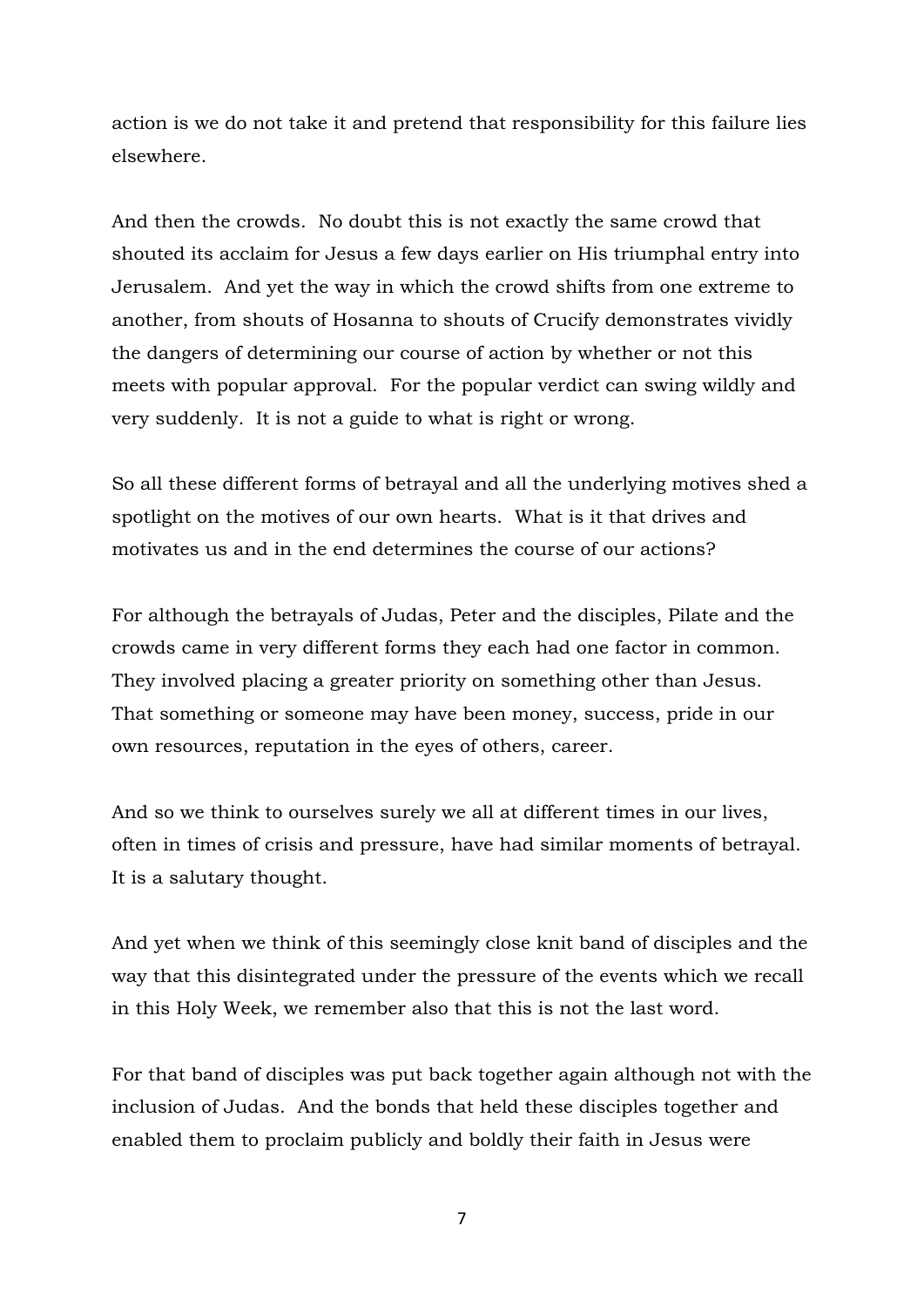action is we do not take it and pretend that responsibility for this failure lies elsewhere.

And then the crowds. No doubt this is not exactly the same crowd that shouted its acclaim for Jesus a few days earlier on His triumphal entry into Jerusalem. And yet the way in which the crowd shifts from one extreme to another, from shouts of Hosanna to shouts of Crucify demonstrates vividly the dangers of determining our course of action by whether or not this meets with popular approval. For the popular verdict can swing wildly and very suddenly. It is not a guide to what is right or wrong.

So all these different forms of betrayal and all the underlying motives shed a spotlight on the motives of our own hearts. What is it that drives and motivates us and in the end determines the course of our actions?

For although the betrayals of Judas, Peter and the disciples, Pilate and the crowds came in very different forms they each had one factor in common. They involved placing a greater priority on something other than Jesus. That something or someone may have been money, success, pride in our own resources, reputation in the eyes of others, career.

And so we think to ourselves surely we all at different times in our lives, often in times of crisis and pressure, have had similar moments of betrayal. It is a salutary thought.

And yet when we think of this seemingly close knit band of disciples and the way that this disintegrated under the pressure of the events which we recall in this Holy Week, we remember also that this is not the last word.

For that band of disciples was put back together again although not with the inclusion of Judas. And the bonds that held these disciples together and enabled them to proclaim publicly and boldly their faith in Jesus were